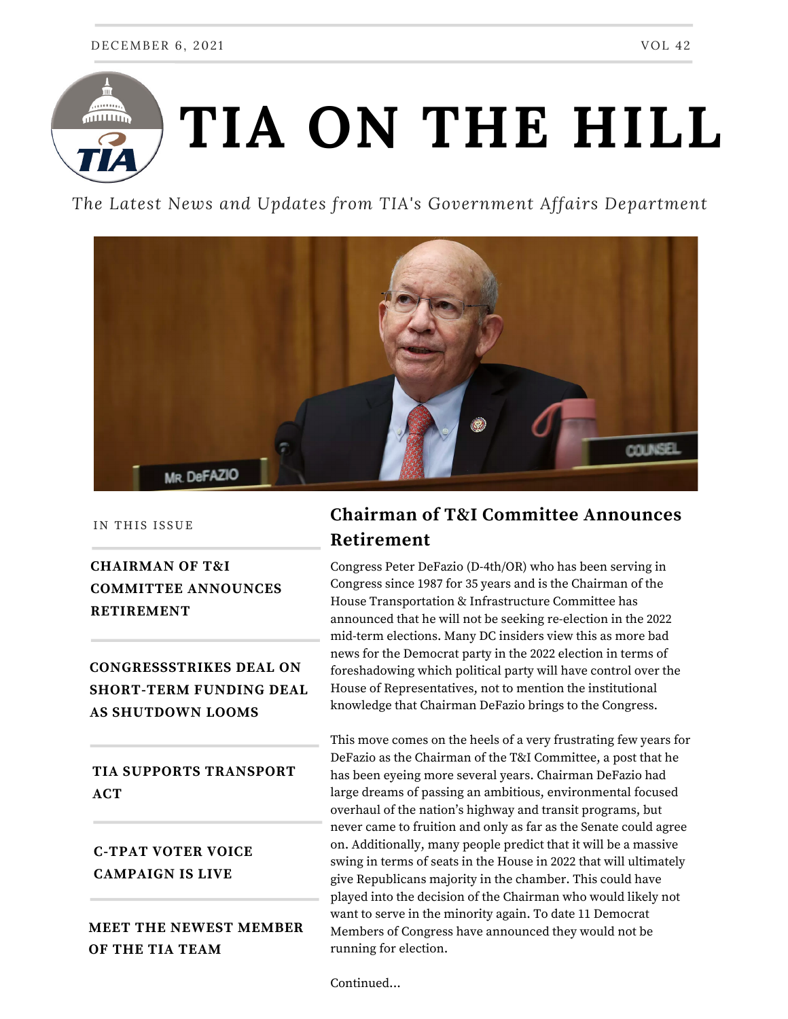

*The Latest News and Updates from TIA's Government Affairs Department*



IN THIS ISSUE

## **CHAIRMAN OF T&I COMMITTEE ANNOUNCES RETIREMENT**

**CONGRESSSTRIKES DEAL ON SHORT-TERM FUNDING DEAL AS SHUTDOWN LOOMS**

## **TIA SUPPORTS TRANSPORT ACT**

## **C-TPAT VOTER VOICE CAMPAIGN IS LIVE**

**MEET THE NEWEST MEMBER OF THE TIA TEAM**

# **Chairman of T&I Committee Announces Retirement**

Congress Peter DeFazio (D-4th/OR) who has been serving in Congress since 1987 for 35 years and is the Chairman of the House Transportation & Infrastructure Committee has announced that he will not be seeking re-election in the 2022 mid-term elections. Many DC insiders view this as more bad news for the Democrat party in the 2022 election in terms of foreshadowing which political party will have control over the House of Representatives, not to mention the institutional knowledge that Chairman DeFazio brings to the Congress.

This move comes on the heels of a very frustrating few years for DeFazio as the Chairman of the T&I Committee, a post that he has been eyeing more several years. Chairman DeFazio had large dreams of passing an ambitious, environmental focused overhaul of the nation's highway and transit programs, but never came to fruition and only as far as the Senate could agree on. Additionally, many people predict that it will be a massive swing in terms of seats in the House in 2022 that will ultimately give Republicans majority in the chamber. This could have played into the decision of the Chairman who would likely not want to serve in the minority again. To date 11 Democrat Members of Congress have announced they would not be running for election.

Continued...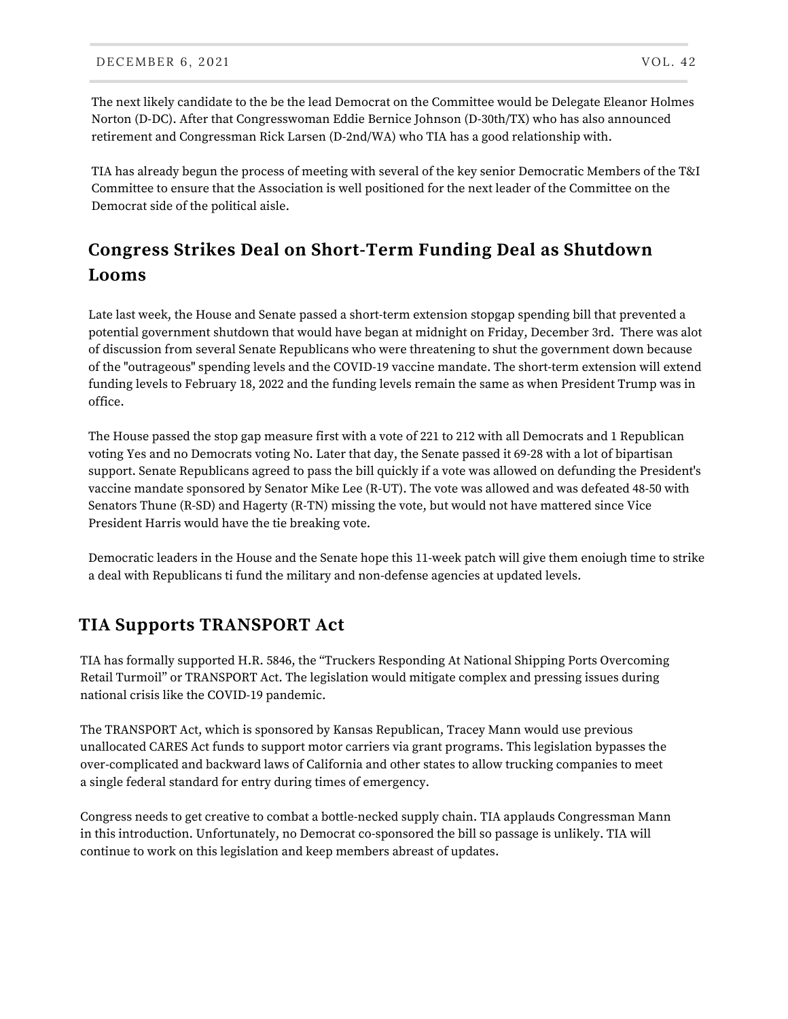The next likely candidate to the be the lead Democrat on the Committee would be Delegate Eleanor Holmes Norton (D-DC). After that Congresswoman Eddie Bernice Johnson (D-30th/TX) who has also announced retirement and Congressman Rick Larsen (D-2nd/WA) who TIA has a good relationship with.

TIA has already begun the process of meeting with several of the key senior Democratic Members of the T&I Committee to ensure that the Association is well positioned for the next leader of the Committee on the Democrat side of the political aisle.

# **Congress Strikes Deal on Short-Term Funding Deal as Shutdown Looms**

Late last week, the House and Senate passed a short-term extension stopgap spending bill that prevented a potential government shutdown that would have began at midnight on Friday, December 3rd. There was alot of discussion from several Senate Republicans who were threatening to shut the government down because of the "outrageous" spending levels and the COVID-19 vaccine mandate. The short-term extension will extend funding levels to February 18, 2022 and the funding levels remain the same as when President Trump was in office.

The House passed the stop gap measure first with a vote of 221 to 212 with all Democrats and 1 Republican voting Yes and no Democrats voting No. Later that day, the Senate passed it 69-28 with a lot of bipartisan support. Senate Republicans agreed to pass the bill quickly if a vote was allowed on defunding the President's vaccine mandate sponsored by Senator Mike Lee (R-UT). The vote was allowed and was defeated 48-50 with Senators Thune (R-SD) and Hagerty (R-TN) missing the vote, but would not have mattered since Vice President Harris would have the tie breaking vote.

Democratic leaders in the House and the Senate hope this 11-week patch will give them enoiugh time to strike a deal with Republicans ti fund the military and non-defense agencies at updated levels.

#### **TIA Supports TRANSPORT Act**

TIA has formally supported H.R. 5846, the "Truckers Responding At National Shipping Ports Overcoming Retail Turmoil" or TRANSPORT Act. The legislation would mitigate complex and pressing issues during national crisis like the COVID-19 pandemic.

The TRANSPORT Act, which is sponsored by Kansas Republican, Tracey Mann would use previous unallocated CARES Act funds to support motor carriers via grant programs. This legislation bypasses the over-complicated and backward laws of California and other states to allow trucking companies to meet a single federal standard for entry during times of emergency.

Congress needs to get creative to combat a bottle-necked supply chain. TIA applauds Congressman Mann in this introduction. Unfortunately, no Democrat co-sponsored the bill so passage is unlikely. TIA will continue to work on this legislation and keep members abreast of updates.